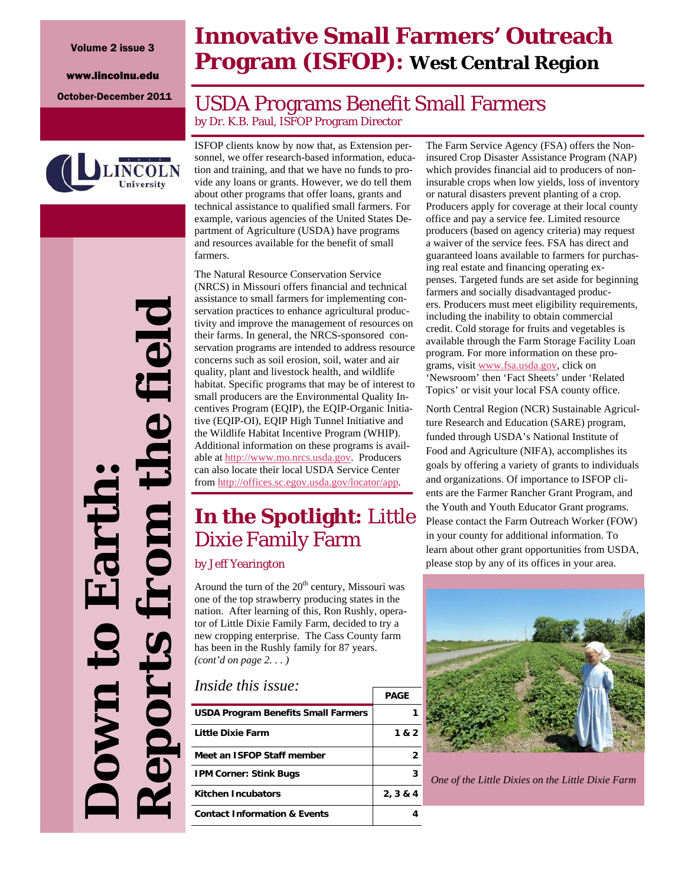#### Volume 2 issue 3



# *Reports from the field*  e field **Down to Earth:**  Eart

# **Innovative Small Farmers' Outreach Program (ISFOP): West Central Region**

## October-December 2011 USDA Programs Benefit Small Farmers by Dr. K.B. Paul, ISFOP Program Director

ISFOP clients know by now that, as Extension personnel, we offer research-based information, education and training, and that we have no funds to provide any loans or grants. However, we do tell them about other programs that offer loans, grants and technical assistance to qualified small farmers. For example, various agencies of the United States Department of Agriculture (USDA) have programs and resources available for the benefit of small farmers.

The Natural Resource Conservation Service (NRCS) in Missouri offers financial and technical assistance to small farmers for implementing conservation practices to enhance agricultural productivity and improve the management of resources on their farms. In general, the NRCS-sponsored conservation programs are intended to address resource concerns such as soil erosion, soil, water and air quality, plant and livestock health, and wildlife habitat. Specific programs that may be of interest to small producers are the Environmental Quality Incentives Program (EQIP), the EQIP-Organic Initiative (EQIP-OI), EQIP High Tunnel Initiative and the Wildlife Habitat Incentive Program (WHIP). Additional information on these programs is available at http://www.mo.nrcs.usda.gov. Producers can also locate their local USDA Service Center from http://offices.sc.egov.usda.gov/locator/app.

# **In the Spotlight:** Little Dixie Family Farm

#### by Jeff Yearington

Around the turn of the  $20<sup>th</sup>$  century, Missouri was one of the top strawberry producing states in the nation. After learning of this, Ron Rushly, operator of Little Dixie Family Farm, decided to try a new cropping enterprise. The Cass County farm has been in the Rushly family for 87 years. *(cont'd on page 2. . . )* 

## *Inside this issue:*

|                                         | PAGE     |
|-----------------------------------------|----------|
| USDA Program Benefits Small Farmers     |          |
| Little Dixie Farm                       | 1 & 2    |
| Meet an ISFOP Staff member              | 2        |
| <b>IPM Corner: Stink Bugs</b>           |          |
| <b>Kitchen Incubators</b>               | 2, 3 & 4 |
| <b>Contact Information &amp; Events</b> |          |

**PAGE** 

The Farm Service Agency (FSA) offers the Noninsured Crop Disaster Assistance Program (NAP) which provides financial aid to producers of noninsurable crops when low yields, loss of inventory or natural disasters prevent planting of a crop. Producers apply for coverage at their local county office and pay a service fee. Limited resource producers (based on agency criteria) may request a waiver of the service fees. FSA has direct and guaranteed loans available to farmers for purchasing real estate and financing operating expenses. Targeted funds are set aside for beginning farmers and socially disadvantaged producers. Producers must meet eligibility requirements, including the inability to obtain commercial credit. Cold storage for fruits and vegetables is available through the Farm Storage Facility Loan program. For more information on these programs, visit www.fsa.usda.gov, click on 'Newsroom' then 'Fact Sheets' under 'Related Topics' or visit your local FSA county office.

North Central Region (NCR) Sustainable Agriculture Research and Education (SARE) program, funded through USDA's National Institute of Food and Agriculture (NIFA), accomplishes its goals by offering a variety of grants to individuals and organizations. Of importance to ISFOP clients are the Farmer Rancher Grant Program, and the Youth and Youth Educator Grant programs. Please contact the Farm Outreach Worker (FOW) in your county for additional information. To learn about other grant opportunities from USDA, please stop by any of its offices in your area.



*One of the Little Dixies on the Little Dixie Farm*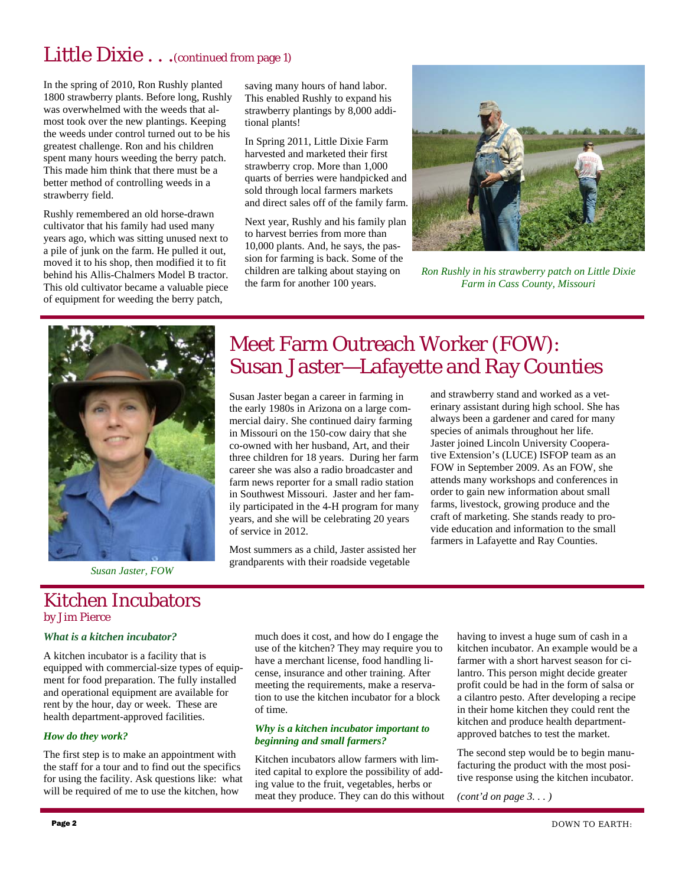# Little Dixie . . . (continued from page 1)

In the spring of 2010, Ron Rushly planted 1800 strawberry plants. Before long, Rushly was overwhelmed with the weeds that almost took over the new plantings. Keeping the weeds under control turned out to be his greatest challenge. Ron and his children spent many hours weeding the berry patch. This made him think that there must be a better method of controlling weeds in a strawberry field.

Rushly remembered an old horse-drawn cultivator that his family had used many years ago, which was sitting unused next to a pile of junk on the farm. He pulled it out, moved it to his shop, then modified it to fit behind his Allis-Chalmers Model B tractor. This old cultivator became a valuable piece of equipment for weeding the berry patch,

saving many hours of hand labor. This enabled Rushly to expand his strawberry plantings by 8,000 additional plants!

In Spring 2011, Little Dixie Farm harvested and marketed their first strawberry crop. More than 1,000 quarts of berries were handpicked and sold through local farmers markets and direct sales off of the family farm.

Next year, Rushly and his family plan to harvest berries from more than 10,000 plants. And, he says, the passion for farming is back. Some of the children are talking about staying on the farm for another 100 years.



*Ron Rushly in his strawberry patch on Little Dixie Farm in Cass County, Missouri* 



*Susan Jaster, FOW* 

# Meet Farm Outreach Worker (FOW): Susan Jaster—Lafayette and Ray Counties

Susan Jaster began a career in farming in the early 1980s in Arizona on a large commercial dairy. She continued dairy farming in Missouri on the 150-cow dairy that she co-owned with her husband, Art, and their three children for 18 years. During her farm career she was also a radio broadcaster and farm news reporter for a small radio station in Southwest Missouri. Jaster and her family participated in the 4-H program for many years, and she will be celebrating 20 years of service in 2012.

Most summers as a child, Jaster assisted her grandparents with their roadside vegetable

and strawberry stand and worked as a veterinary assistant during high school. She has always been a gardener and cared for many species of animals throughout her life. Jaster joined Lincoln University Cooperative Extension's (LUCE) ISFOP team as an FOW in September 2009. As an FOW, she attends many workshops and conferences in order to gain new information about small farms, livestock, growing produce and the craft of marketing. She stands ready to provide education and information to the small farmers in Lafayette and Ray Counties.

## Kitchen Incubators by Jim Pierce

#### *What is a kitchen incubator?*

A kitchen incubator is a facility that is equipped with commercial-size types of equipment for food preparation. The fully installed and operational equipment are available for rent by the hour, day or week. These are health department-approved facilities.

#### *How do they work?*

The first step is to make an appointment with the staff for a tour and to find out the specifics for using the facility. Ask questions like: what will be required of me to use the kitchen, how

much does it cost, and how do I engage the use of the kitchen? They may require you to have a merchant license, food handling license, insurance and other training. After meeting the requirements, make a reservation to use the kitchen incubator for a block of time.

#### *Why is a kitchen incubator important to beginning and small farmers?*

Kitchen incubators allow farmers with limited capital to explore the possibility of adding value to the fruit, vegetables, herbs or meat they produce. They can do this without having to invest a huge sum of cash in a kitchen incubator. An example would be a farmer with a short harvest season for cilantro. This person might decide greater profit could be had in the form of salsa or a cilantro pesto. After developing a recipe in their home kitchen they could rent the kitchen and produce health departmentapproved batches to test the market.

The second step would be to begin manufacturing the product with the most positive response using the kitchen incubator.

*(cont'd on page 3. . . )*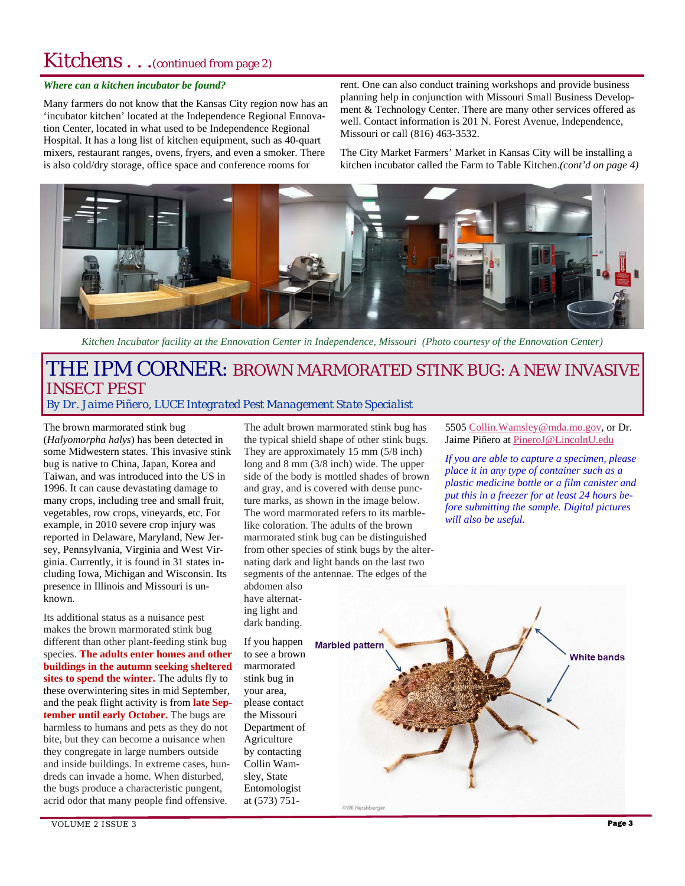# Kitchens . . . (continued from page 2)

#### *Where can a kitchen incubator be found?*

Many farmers do not know that the Kansas City region now has an 'incubator kitchen' located at the Independence Regional Ennovation Center, located in what used to be Independence Regional Hospital. It has a long list of kitchen equipment, such as 40-quart mixers, restaurant ranges, ovens, fryers, and even a smoker. There is also cold/dry storage, office space and conference rooms for

rent. One can also conduct training workshops and provide business planning help in conjunction with Missouri Small Business Development & Technology Center. There are many other services offered as well. Contact information is 201 N. Forest Avenue, Independence, Missouri or call (816) 463-3532.

The City Market Farmers' Market in Kansas City will be installing a kitchen incubator called the Farm to Table Kitchen.*(cont'd on page 4)* 



*Kitchen Incubator facility at the Ennovation Center in Independence, Missouri (Photo courtesy of the Ennovation Center)* 

## THE IPM CORNER: BROWN MARMORATED STINK BUG: A NEW INVASIVE INSECT PEST *By Dr. Jaime Piñero, LUCE Integrated Pest Management State Specialist*

The brown marmorated stink bug (*Halyomorpha halys*) has been detected in some Midwestern states. This invasive stink bug is native to China, Japan, Korea and Taiwan, and was introduced into the US in 1996. It can cause devastating damage to many crops, including tree and small fruit, vegetables, row crops, vineyards, etc. For example, in 2010 severe crop injury was reported in Delaware, Maryland, New Jersey, Pennsylvania, Virginia and West Virginia. Currently, it is found in 31 states including Iowa, Michigan and Wisconsin. Its presence in Illinois and Missouri is unknown.

Its additional status as a nuisance pest makes the brown marmorated stink bug different than other plant-feeding stink bug species. **The adults enter homes and other buildings in the autumn seeking sheltered sites to spend the winter.** The adults fly to these overwintering sites in mid September, and the peak flight activity is from **late September until early October.** The bugs are harmless to humans and pets as they do not bite, but they can become a nuisance when they congregate in large numbers outside and inside buildings. In extreme cases, hundreds can invade a home. When disturbed, the bugs produce a characteristic pungent, acrid odor that many people find offensive.

The adult brown marmorated stink bug has the typical shield shape of other stink bugs. They are approximately 15 mm (5/8 inch) long and 8 mm (3/8 inch) wide. The upper side of the body is mottled shades of brown and gray, and is covered with dense puncture marks, as shown in the image below. The word marmorated refers to its marblelike coloration. The adults of the brown marmorated stink bug can be distinguished from other species of stink bugs by the alternating dark and light bands on the last two segments of the antennae. The edges of the abdomen also

have alternating light and dark banding.

If you happen to see a brown marmorated stink bug in your area, please contact the Missouri Department of **Agriculture** by contacting Collin Wamsley, State Entomologist at (573) 7515505 Collin.Wamsley@mda.mo.gov, or Dr. Jaime Piñero at PineroJ@LincolnU.edu

*If you are able to capture a specimen, please place it in any type of container such as a plastic medicine bottle or a film canister and put this in a freezer for at least 24 hours before submitting the sample. Digital pictures will also be useful.*